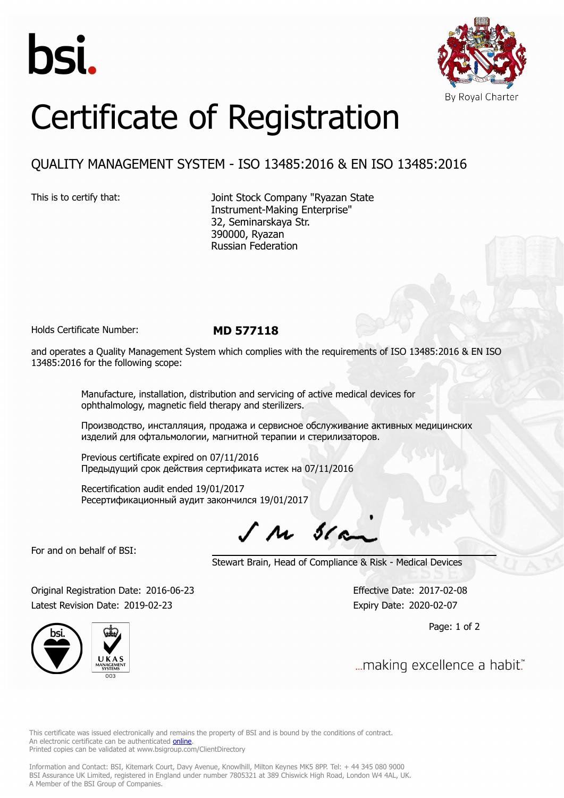



## Certificate of Registration

## QUALITY MANAGEMENT SYSTEM - ISO 13485:2016 & EN ISO 13485:2016

This is to certify that: Joint Stock Company "Ryazan State Instrument-Making Enterprise" 32, Seminarskaya Str. 390000, Ryazan Russian Federation

Holds Certificate Number: **MD 577118**

and operates a Quality Management System which complies with the requirements of ISO 13485:2016 & EN ISO 13485:2016 for the following scope:

> Manufacture, installation, distribution and servicing of active medical devices for ophthalmology, magnetic field therapy and sterilizers.

Производство, инсталляция, продажа и сервисное обслуживание активных медицинских изделий для офтальмологии, магнитной терапии и стерилизаторов.

Previous certificate expired on 07/11/2016 Предыдущий срок действия сертификата истек на 07/11/2016

Recertification audit ended 19/01/2017 Ресертификационный аудит закончился 19/01/2017

 $\int$   $\mu$   $\delta$ la

For and on behalf of BSI:

Stewart Brain, Head of Compliance & Risk - Medical Devices

Original Registration Date: 2016-06-23 Effective Date: 2017-02-08 Latest Revision Date: 2019-02-23 Expiry Date: 2020-02-07

Page: 1 of 2



... making excellence a habit."

This certificate was issued electronically and remains the property of BSI and is bound by the conditions of contract. An electronic certificate can be authenticated **[online](https://pgplus.bsigroup.com/CertificateValidation/CertificateValidator.aspx?CertificateNumber=MD+577118&ReIssueDate=23%2f02%2f2019&Template=uk)**. Printed copies can be validated at www.bsigroup.com/ClientDirectory

Information and Contact: BSI, Kitemark Court, Davy Avenue, Knowlhill, Milton Keynes MK5 8PP. Tel: + 44 345 080 9000 BSI Assurance UK Limited, registered in England under number 7805321 at 389 Chiswick High Road, London W4 4AL, UK. A Member of the BSI Group of Companies.